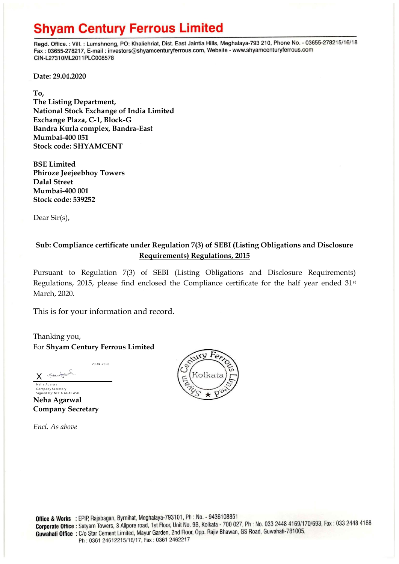## **Shyam Century Ferrous Limited**

Regd. Office.: Vill.: Lumshnong, PO: Khaliehriat, Dist. East Jaintia Hills, Meghalaya-793 210, Phone No. - 03655-278215/16/18 Fax: 03655-278217, E-mail: investors@shyamcenturyferrous.com, Website - www.shyamcenturyferrous.com CIN-L27310ML2011PLC008578

**Date: 29.04.2020**

**To,** 

**The Listing Department, National Stock Exchange of India Limited Exchange Plaza, C-1, Block-G Bandra Kurla complex, Bandra-East Mumbai-400 051 Stock code: SHYAMCENT**

**BSE Limited Phiroze Jeejeebhoy Towers Dalal Street Mumbai-400 001 Stock code: 539252**

Dear Sir(s),

## **Sub: Compliance certificate under Regulation 7(3) of SEBI (Listing Obligations and Disclosure Requirements) Regulations, 2015**

Pursuant to Regulation 7(3) of SEBI (Listing Obligations and Disclosure Requirements) Regulations, 2015, please find enclosed the Compliance certificate for the half year ended 31st March, 2020.

This is for your information and record.

Thanking you, For **Shyam Century Ferrous Limited**

29-04-2020

Note for X Neha Agarwal

Company Secretary<br>Signed by: NEHA AGARWAL **Neha Agarwal Company Secretary**

*Encl. As above*